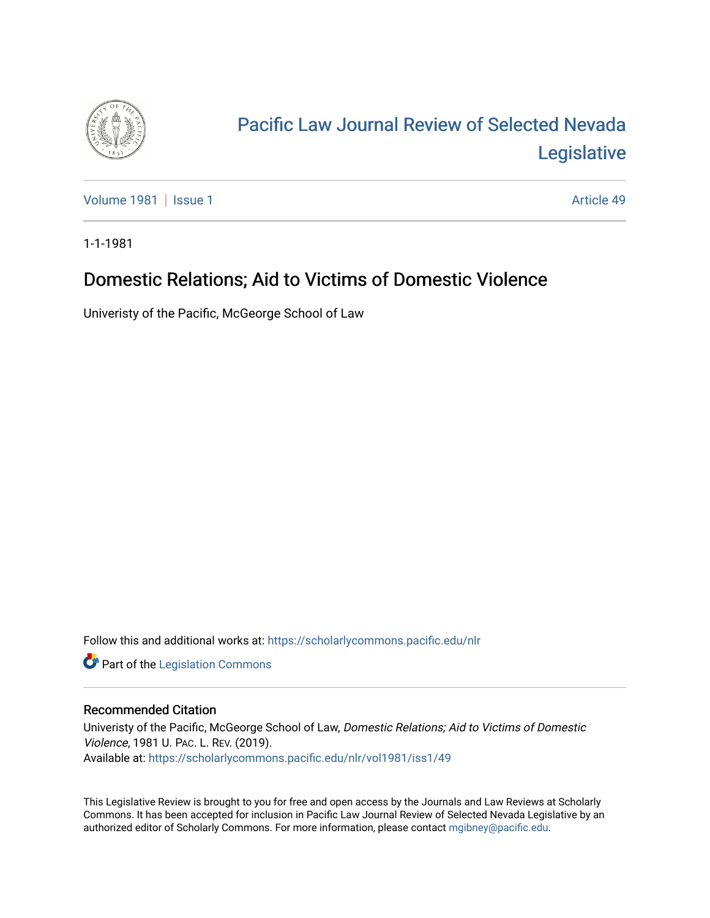

# [Pacific Law Journal Review of Selected Nevada](https://scholarlycommons.pacific.edu/nlr)  [Legislative](https://scholarlycommons.pacific.edu/nlr)

[Volume 1981](https://scholarlycommons.pacific.edu/nlr/vol1981) | [Issue 1](https://scholarlycommons.pacific.edu/nlr/vol1981/iss1) Article 49

1-1-1981

## Domestic Relations; Aid to Victims of Domestic Violence

Univeristy of the Pacific, McGeorge School of Law

Follow this and additional works at: [https://scholarlycommons.pacific.edu/nlr](https://scholarlycommons.pacific.edu/nlr?utm_source=scholarlycommons.pacific.edu%2Fnlr%2Fvol1981%2Fiss1%2F49&utm_medium=PDF&utm_campaign=PDFCoverPages) 

**Part of the [Legislation Commons](http://network.bepress.com/hgg/discipline/859?utm_source=scholarlycommons.pacific.edu%2Fnlr%2Fvol1981%2Fiss1%2F49&utm_medium=PDF&utm_campaign=PDFCoverPages)** 

### Recommended Citation

Univeristy of the Pacific, McGeorge School of Law, Domestic Relations; Aid to Victims of Domestic Violence, 1981 U. PAC. L. REV. (2019). Available at: [https://scholarlycommons.pacific.edu/nlr/vol1981/iss1/49](https://scholarlycommons.pacific.edu/nlr/vol1981/iss1/49?utm_source=scholarlycommons.pacific.edu%2Fnlr%2Fvol1981%2Fiss1%2F49&utm_medium=PDF&utm_campaign=PDFCoverPages)

This Legislative Review is brought to you for free and open access by the Journals and Law Reviews at Scholarly Commons. It has been accepted for inclusion in Pacific Law Journal Review of Selected Nevada Legislative by an authorized editor of Scholarly Commons. For more information, please contact [mgibney@pacific.edu](mailto:mgibney@pacific.edu).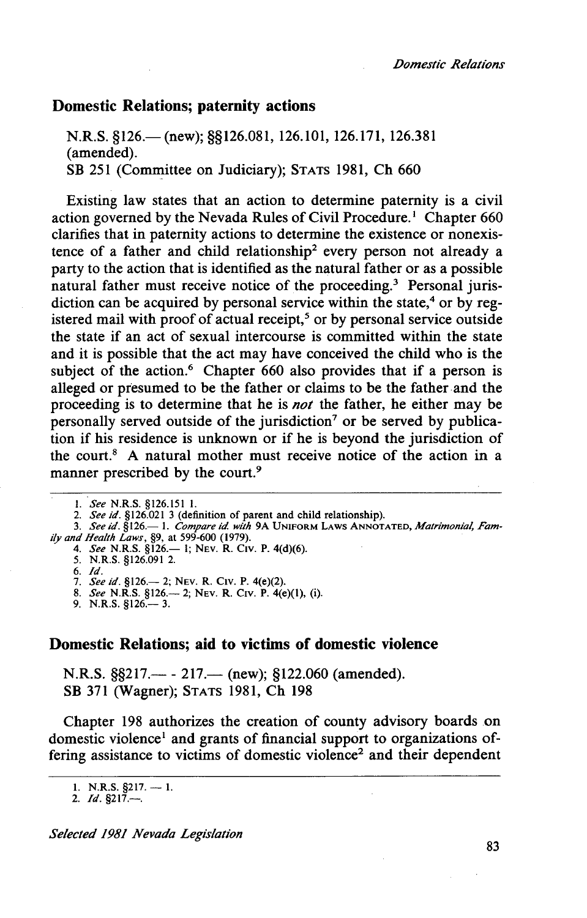#### **Domestic Relations; paternity actions**

N.R.S. §126.— (new); §§126.081, 126.101, 126.171, 126.381 (amended). SB 251 (Committee on Judiciary); STATS 1981, Ch 660

Existing law states that an action to determine paternity is a civil action governed by the Nevada Rules of Civil Procedure.<sup>1</sup> Chapter 660 clarifies that in paternity actions to determine the existence or nonexistence of a father and child relationship2 every person not already a party to the action that is identified as the natural father or as a possible natural father must receive notice of the proceeding.<sup>3</sup> Personal jurisdiction can be acquired by personal service within the state, $4$  or by registered mail with proof of actual receipt,<sup>5</sup> or by personal service outside the state if an act of sexual intercourse is committed within the state and it is possible that the act may have conceived the child who is the subject of the action.<sup>6</sup> Chapter 660 also provides that if a person is alleged or presumed to be the father or claims to be the father and the proceeding is to determine that he is *not* the father, he either may be personally served outside of the jurisdiction<sup>7</sup> or be served by publication if his residence is unknown or if he is beyond the jurisdiction of the court.8 A natural mother must receive notice of the action in a manner prescribed by the court.<sup>9</sup>

- 2. *See id.* §126.021 3 (definition of parent and child relationship). 3. *See id.* §126.- 1. *Compare id with* 9A UNIFORM LAWS ANNOTATED, *Matrimonial, Fam-*
- *ily and Health Laws*, §9, at 599-600 (1979).<br>4. *See* N.R.S. §126.— 1; NEV. R. CIV. P. 4(d)(6).

5. N.R.S. §126.091 2.

9. N.R.S. §126.— 3.

#### **Domestic Relations; aid to victims of domestic violence**

N.R.S.  $\S$ \$217.— - 217.— (new); §122.060 (amended). SB 371 (Wagner); STATS 1981, Ch 198

Chapter 198 authorizes the creation of county advisory boards on domestic violence<sup>1</sup> and grants of financial support to organizations offering assistance to victims of domestic violence<sup>2</sup> and their dependent

I. *See* N.R.S. §126.151 I.

<sup>6.</sup> *Id.*  7. *See id.* §126.- 2; NEv. R. CIV. P. 4(e)(2).

<sup>8.</sup> *See* N.R.S. §126.- 2; NEv. R. C1v. P. 4(e)(l), (i).

<sup>1.</sup> N.R.S.  $\S$ 217. - 1.

<sup>2.</sup> *Id.* §217.-.